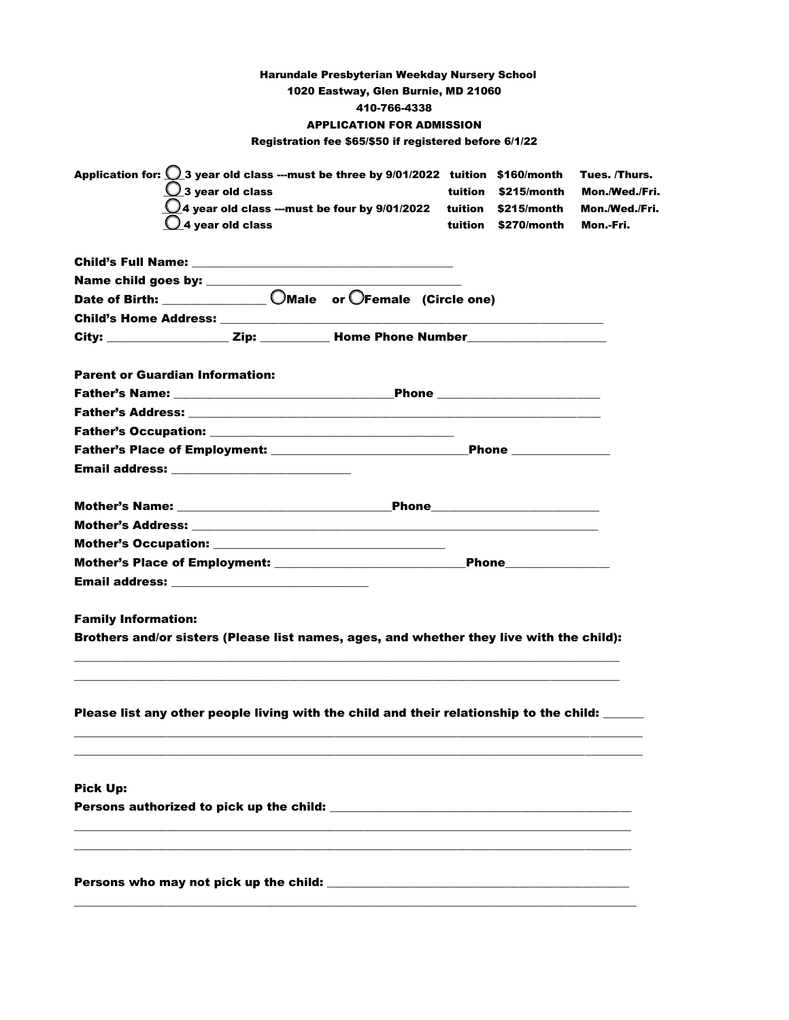|                                                                                                                                                                                                                                                                              | <b>Harundale Presbyterian Weekday Nursery School</b><br>1020 Eastway, Glen Burnie, MD 21060<br>410-766-4338<br><b>APPLICATION FOR ADMISSION</b><br>Registration fee \$65/\$50 if registered before 6/1/22 |                                                                                                                                                                                                                                    |                                                                |
|------------------------------------------------------------------------------------------------------------------------------------------------------------------------------------------------------------------------------------------------------------------------------|-----------------------------------------------------------------------------------------------------------------------------------------------------------------------------------------------------------|------------------------------------------------------------------------------------------------------------------------------------------------------------------------------------------------------------------------------------|----------------------------------------------------------------|
| Application for: $\bigcirc$ 3 year old class ---must be three by 9/01/2022 tuition \$160/month<br>$\bigcup$ 3 year old class<br>$Q_4$ year old class                                                                                                                         | $\bigcirc$ 4 year old class ---must be four by 9/01/2022 tuition \$215/month                                                                                                                              | tuition \$215/month<br>tuition \$270/month                                                                                                                                                                                         | Tues. /Thurs.<br>Mon./Wed./Fri.<br>Mon./Wed./Fri.<br>Mon.-Fri. |
|                                                                                                                                                                                                                                                                              |                                                                                                                                                                                                           |                                                                                                                                                                                                                                    |                                                                |
| City: __________________Zip: __________Home Phone Number _______________________                                                                                                                                                                                             |                                                                                                                                                                                                           |                                                                                                                                                                                                                                    |                                                                |
| <b>Parent or Guardian Information:</b><br><b>Email address:</b> The contract of the contract of the contract of the contract of the contract of the contract of the contract of the contract of the contract of the contract of the contract of the contract of the contract |                                                                                                                                                                                                           |                                                                                                                                                                                                                                    |                                                                |
| Mother's Name: the contract of the contract of the contract of the contract of the contract of the contract of the contract of the contract of the contract of the contract of the contract of the contract of the contract of                                               |                                                                                                                                                                                                           | <b>Phone Example 2016</b>                                                                                                                                                                                                          |                                                                |
| Email address: ____________________________                                                                                                                                                                                                                                  |                                                                                                                                                                                                           | <b>Phone Contract Contract Contract Contract Contract Contract Contract Contract Contract Contract Contract Contract Contract Contract Contract Contract Contract Contract Contract Contract Contract Contract Contract Contra</b> |                                                                |
| <b>Family Information:</b><br>Brothers and/or sisters (Please list names, ages, and whether they live with the child):                                                                                                                                                       |                                                                                                                                                                                                           |                                                                                                                                                                                                                                    |                                                                |
| Please list any other people living with the child and their relationship to the child: _____                                                                                                                                                                                |                                                                                                                                                                                                           |                                                                                                                                                                                                                                    |                                                                |
| <b>Pick Up:</b>                                                                                                                                                                                                                                                              |                                                                                                                                                                                                           |                                                                                                                                                                                                                                    |                                                                |
|                                                                                                                                                                                                                                                                              |                                                                                                                                                                                                           |                                                                                                                                                                                                                                    |                                                                |